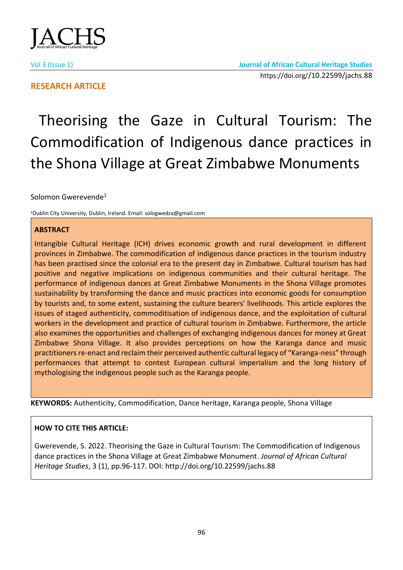

# **RESEARCH ARTICLE**

# Theorising the Gaze in Cultural Tourism: The Commodification of Indigenous dance practices in the Shona Village at Great Zimbabwe Monuments

Solomon Gwerevende<sup>1</sup>

<sup>1</sup>Dublin City University, Dublin, Ireland. Email: sologwedza@gmail.com

# **ABSTRACT**

Intangible Cultural Heritage (ICH) drives economic growth and rural development in different provinces in Zimbabwe. The commodification of indigenous dance practices in the tourism industry has been practised since the colonial era to the present day in Zimbabwe. Cultural tourism has had positive and negative implications on indigenous communities and their cultural heritage. The performance of indigenous dances at Great Zimbabwe Monuments in the Shona Village promotes sustainability by transforming the dance and music practices into economic goods for consumption by tourists and, to some extent, sustaining the culture bearers' livelihoods. This article explores the issues of staged authenticity, commoditisation of indigenous dance, and the exploitation of cultural workers in the development and practice of cultural tourism in Zimbabwe. Furthermore, the article also examines the opportunities and challenges of exchanging indigenous dances for money at Great Zimbabwe Shona Village. It also provides perceptions on how the Karanga dance and music practitioners re-enact and reclaim their perceived authentic cultural legacy of "Karanga-ness" through performances that attempt to contest European cultural imperialism and the long history of mythologising the indigenous people such as the Karanga people.

**KEYWORDS:** Authenticity, Commodification, Dance heritage, Karanga people, Shona Village

# **HOW TO CITE THIS ARTICLE:**

Gwerevende, S. 2022. Theorising the Gaze in Cultural Tourism: The Commodification of Indigenous dance practices in the Shona Village at Great Zimbabwe Monument. *Journal of African Cultural Heritage Studies*, 3 (1), pp.96-117. DOI: http://doi.org/10.22599/jachs.88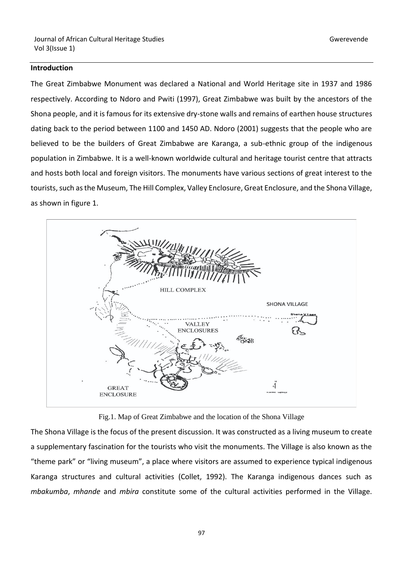#### **Introduction**

The Great Zimbabwe Monument was declared a National and World Heritage site in 1937 and 1986 respectively. According to Ndoro and Pwiti (1997), Great Zimbabwe was built by the ancestors of the Shona people, and it is famous for its extensive dry-stone walls and remains of earthen house structures dating back to the period between 1100 and 1450 AD. Ndoro (2001) suggests that the people who are believed to be the builders of Great Zimbabwe are Karanga, a sub-ethnic group of the indigenous population in Zimbabwe. It is a well-known worldwide cultural and heritage tourist centre that attracts and hosts both local and foreign visitors. The monuments have various sections of great interest to the tourists, such as the Museum, The Hill Complex, Valley Enclosure, Great Enclosure, and the Shona Village, as shown in figure 1.



Fig.1. Map of Great Zimbabwe and the location of the Shona Village

The Shona Village is the focus of the present discussion. It was constructed as a living museum to create a supplementary fascination for the tourists who visit the monuments. The Village is also known as the "theme park" or "living museum", a place where visitors are assumed to experience typical indigenous Karanga structures and cultural activities (Collet, 1992). The Karanga indigenous dances such as *mbakumba*, *mhande* and *mbira* constitute some of the cultural activities performed in the Village.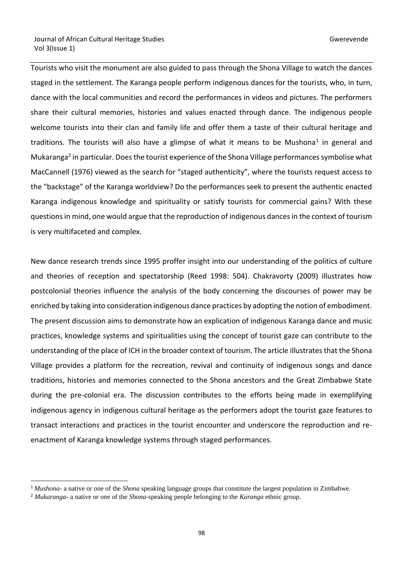Tourists who visit the monument are also guided to pass through the Shona Village to watch the dances staged in the settlement. The Karanga people perform indigenous dances for the tourists, who, in turn, dance with the local communities and record the performances in videos and pictures. The performers share their cultural memories, histories and values enacted through dance. The indigenous people welcome tourists into their clan and family life and offer them a taste of their cultural heritage and traditions. The tourists will also have a glimpse of what it means to be Mushona<sup>1</sup> in general and Mukaranga<sup>2</sup> in particular. Does the tourist experience of the Shona Village performances symbolise what MacCannell (1976) viewed as the search for "staged authenticity", where the tourists request access to the "backstage" of the Karanga worldview? Do the performances seek to present the authentic enacted Karanga indigenous knowledge and spirituality or satisfy tourists for commercial gains? With these questions in mind, one would argue that the reproduction of indigenous dances in the context of tourism is very multifaceted and complex.

New dance research trends since 1995 proffer insight into our understanding of the politics of culture and theories of reception and spectatorship (Reed 1998: 504). Chakravorty (2009) illustrates how postcolonial theories influence the analysis of the body concerning the discourses of power may be enriched by taking into consideration indigenous dance practices by adopting the notion of embodiment. The present discussion aims to demonstrate how an explication of indigenous Karanga dance and music practices, knowledge systems and spiritualities using the concept of tourist gaze can contribute to the understanding of the place of ICH in the broader context of tourism. The article illustrates that the Shona Village provides a platform for the recreation, revival and continuity of indigenous songs and dance traditions, histories and memories connected to the Shona ancestors and the Great Zimbabwe State during the pre-colonial era. The discussion contributes to the efforts being made in exemplifying indigenous agency in indigenous cultural heritage as the performers adopt the tourist gaze features to transact interactions and practices in the tourist encounter and underscore the reproduction and reenactment of Karanga knowledge systems through staged performances.

<sup>1</sup> *Mushona*- a native or one of the *Shona* speaking language groups that constitute the largest population in Zimbabwe.

<sup>2</sup> *Mukaranga*- a native or one of the *Shona*-speaking people belonging to the *Karanga* ethnic group.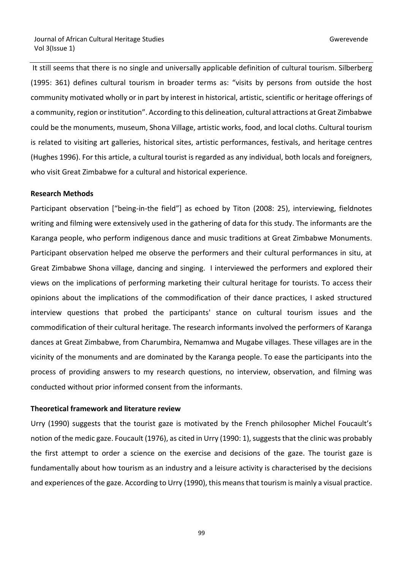It still seems that there is no single and universally applicable definition of cultural tourism. Silberberg (1995: 361) defines cultural tourism in broader terms as: "visits by persons from outside the host community motivated wholly or in part by interest in historical, artistic, scientific or heritage offerings of a community, region or institution". According to this delineation, cultural attractions at Great Zimbabwe could be the monuments, museum, Shona Village, artistic works, food, and local cloths. Cultural tourism is related to visiting art galleries, historical sites, artistic performances, festivals, and heritage centres (Hughes 1996). For this article, a cultural tourist is regarded as any individual, both locals and foreigners, who visit Great Zimbabwe for a cultural and historical experience.

#### **Research Methods**

Participant observation ["being-in-the field"] as echoed by Titon (2008: 25), interviewing, fieldnotes writing and filming were extensively used in the gathering of data for this study. The informants are the Karanga people, who perform indigenous dance and music traditions at Great Zimbabwe Monuments. Participant observation helped me observe the performers and their cultural performances in situ, at Great Zimbabwe Shona village, dancing and singing. I interviewed the performers and explored their views on the implications of performing marketing their cultural heritage for tourists. To access their opinions about the implications of the commodification of their dance practices, I asked structured interview questions that probed the participants' stance on cultural tourism issues and the commodification of their cultural heritage. The research informants involved the performers of Karanga dances at Great Zimbabwe, from Charumbira, Nemamwa and Mugabe villages. These villages are in the vicinity of the monuments and are dominated by the Karanga people. To ease the participants into the process of providing answers to my research questions, no interview, observation, and filming was conducted without prior informed consent from the informants.

#### **Theoretical framework and literature review**

Urry (1990) suggests that the tourist gaze is motivated by the French philosopher Michel Foucault's notion of the medic gaze. Foucault (1976), as cited in Urry (1990: 1), suggests that the clinic was probably the first attempt to order a science on the exercise and decisions of the gaze. The tourist gaze is fundamentally about how tourism as an industry and a leisure activity is characterised by the decisions and experiences of the gaze. According to Urry (1990), this means that tourism is mainly a visual practice.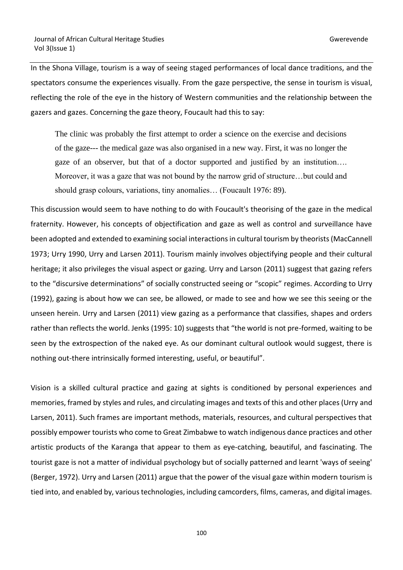In the Shona Village, tourism is a way of seeing staged performances of local dance traditions, and the spectators consume the experiences visually. From the gaze perspective, the sense in tourism is visual, reflecting the role of the eye in the history of Western communities and the relationship between the gazers and gazes. Concerning the gaze theory, Foucault had this to say:

The clinic was probably the first attempt to order a science on the exercise and decisions of the gaze--- the medical gaze was also organised in a new way. First, it was no longer the gaze of an observer, but that of a doctor supported and justified by an institution…. Moreover, it was a gaze that was not bound by the narrow grid of structure…but could and should grasp colours, variations, tiny anomalies… (Foucault 1976: 89).

This discussion would seem to have nothing to do with Foucault's theorising of the gaze in the medical fraternity. However, his concepts of objectification and gaze as well as control and surveillance have been adopted and extended to examining social interactions in cultural tourism by theorists (MacCannell 1973; Urry 1990, Urry and Larsen 2011). Tourism mainly involves objectifying people and their cultural heritage; it also privileges the visual aspect or gazing. Urry and Larson (2011) suggest that gazing refers to the "discursive determinations" of socially constructed seeing or "scopic" regimes. According to Urry (1992), gazing is about how we can see, be allowed, or made to see and how we see this seeing or the unseen herein. Urry and Larsen (2011) view gazing as a performance that classifies, shapes and orders rather than reflects the world. Jenks (1995: 10) suggests that "the world is not pre-formed, waiting to be seen by the extrospection of the naked eye. As our dominant cultural outlook would suggest, there is nothing out-there intrinsically formed interesting, useful, or beautiful".

Vision is a skilled cultural practice and gazing at sights is conditioned by personal experiences and memories, framed by styles and rules, and circulating images and texts of this and other places (Urry and Larsen, 2011). Such frames are important methods, materials, resources, and cultural perspectives that possibly empower tourists who come to Great Zimbabwe to watch indigenous dance practices and other artistic products of the Karanga that appear to them as eye-catching, beautiful, and fascinating. The tourist gaze is not a matter of individual psychology but of socially patterned and learnt 'ways of seeing' (Berger, 1972). Urry and Larsen (2011) argue that the power of the visual gaze within modern tourism is tied into, and enabled by, various technologies, including camcorders, films, cameras, and digital images.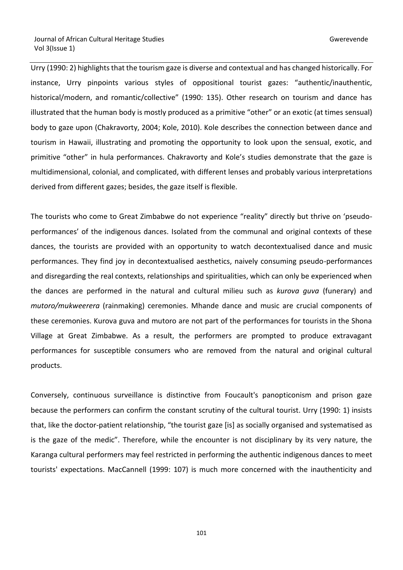Urry (1990: 2) highlights that the tourism gaze is diverse and contextual and has changed historically. For instance, Urry pinpoints various styles of oppositional tourist gazes: "authentic/inauthentic, historical/modern, and romantic/collective" (1990: 135). Other research on tourism and dance has illustrated that the human body is mostly produced as a primitive "other" or an exotic (at times sensual) body to gaze upon (Chakravorty, 2004; Kole, 2010). Kole describes the connection between dance and tourism in Hawaii, illustrating and promoting the opportunity to look upon the sensual, exotic, and primitive "other" in hula performances. Chakravorty and Kole's studies demonstrate that the gaze is multidimensional, colonial, and complicated, with different lenses and probably various interpretations derived from different gazes; besides, the gaze itself is flexible.

The tourists who come to Great Zimbabwe do not experience "reality" directly but thrive on 'pseudoperformances' of the indigenous dances. Isolated from the communal and original contexts of these dances, the tourists are provided with an opportunity to watch decontextualised dance and music performances. They find joy in decontextualised aesthetics, naively consuming pseudo-performances and disregarding the real contexts, relationships and spiritualities, which can only be experienced when the dances are performed in the natural and cultural milieu such as *kurova guva* (funerary) and *mutoro/mukweerera* (rainmaking) ceremonies. Mhande dance and music are crucial components of these ceremonies. Kurova guva and mutoro are not part of the performances for tourists in the Shona Village at Great Zimbabwe. As a result, the performers are prompted to produce extravagant performances for susceptible consumers who are removed from the natural and original cultural products.

Conversely, continuous surveillance is distinctive from Foucault's panopticonism and prison gaze because the performers can confirm the constant scrutiny of the cultural tourist. Urry (1990: 1) insists that, like the doctor-patient relationship, "the tourist gaze [is] as socially organised and systematised as is the gaze of the medic". Therefore, while the encounter is not disciplinary by its very nature, the Karanga cultural performers may feel restricted in performing the authentic indigenous dances to meet tourists' expectations. MacCannell (1999: 107) is much more concerned with the inauthenticity and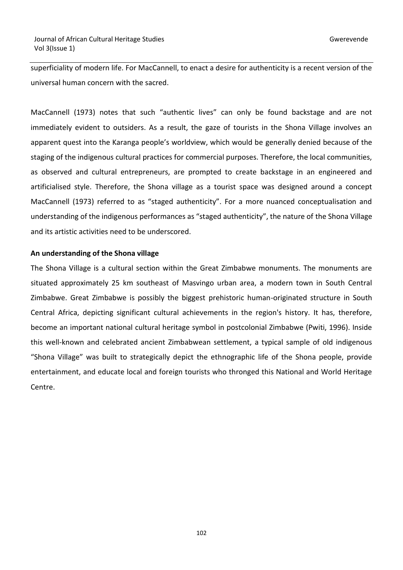superficiality of modern life. For MacCannell, to enact a desire for authenticity is a recent version of the universal human concern with the sacred.

MacCannell (1973) notes that such "authentic lives" can only be found backstage and are not immediately evident to outsiders. As a result, the gaze of tourists in the Shona Village involves an apparent quest into the Karanga people's worldview, which would be generally denied because of the staging of the indigenous cultural practices for commercial purposes. Therefore, the local communities, as observed and cultural entrepreneurs, are prompted to create backstage in an engineered and artificialised style. Therefore, the Shona village as a tourist space was designed around a concept MacCannell (1973) referred to as "staged authenticity". For a more nuanced conceptualisation and understanding of the indigenous performances as "staged authenticity", the nature of the Shona Village and its artistic activities need to be underscored.

#### **An understanding of the Shona village**

The Shona Village is a cultural section within the Great Zimbabwe monuments. The monuments are situated approximately 25 km southeast of Masvingo urban area, a modern town in South Central Zimbabwe. Great Zimbabwe is possibly the biggest prehistoric human-originated structure in South Central Africa, depicting significant cultural achievements in the region's history. It has, therefore, become an important national cultural heritage symbol in postcolonial Zimbabwe (Pwiti, 1996). Inside this well-known and celebrated ancient Zimbabwean settlement, a typical sample of old indigenous "Shona Village" was built to strategically depict the ethnographic life of the Shona people, provide entertainment, and educate local and foreign tourists who thronged this National and World Heritage Centre.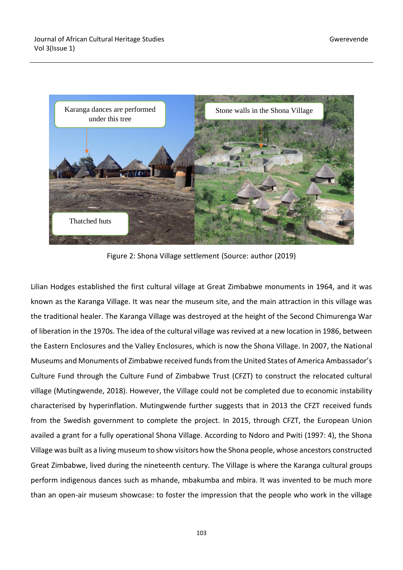

Figure 2: Shona Village settlement (Source: author (2019)

Lilian Hodges established the first cultural village at Great Zimbabwe monuments in 1964, and it was known as the Karanga Village. It was near the museum site, and the main attraction in this village was the traditional healer. The Karanga Village was destroyed at the height of the Second Chimurenga War of liberation in the 1970s. The idea of the cultural village was revived at a new location in 1986, between the Eastern Enclosures and the Valley Enclosures, which is now the Shona Village. In 2007, the National Museums and Monuments of Zimbabwe received funds from the United States of America Ambassador's Culture Fund through the Culture Fund of Zimbabwe Trust (CFZT) to construct the relocated cultural village (Mutingwende, 2018). However, the Village could not be completed due to economic instability characterised by hyperinflation. Mutingwende further suggests that in 2013 the CFZT received funds from the Swedish government to complete the project. In 2015, through CFZT, the European Union availed a grant for a fully operational Shona Village. According to Ndoro and Pwiti (1997: 4), the Shona Village was built as a living museum to show visitors how the Shona people, whose ancestors constructed Great Zimbabwe, lived during the nineteenth century. The Village is where the Karanga cultural groups perform indigenous dances such as mhande, mbakumba and mbira. It was invented to be much more than an open-air museum showcase: to foster the impression that the people who work in the village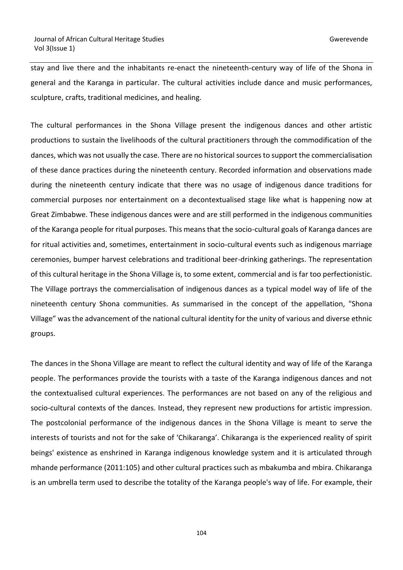stay and live there and the inhabitants re-enact the nineteenth-century way of life of the Shona in general and the Karanga in particular. The cultural activities include dance and music performances, sculpture, crafts, traditional medicines, and healing.

The cultural performances in the Shona Village present the indigenous dances and other artistic productions to sustain the livelihoods of the cultural practitioners through the commodification of the dances, which was not usually the case. There are no historical sources to support the commercialisation of these dance practices during the nineteenth century. Recorded information and observations made during the nineteenth century indicate that there was no usage of indigenous dance traditions for commercial purposes nor entertainment on a decontextualised stage like what is happening now at Great Zimbabwe. These indigenous dances were and are still performed in the indigenous communities of the Karanga people for ritual purposes. This means that the socio-cultural goals of Karanga dances are for ritual activities and, sometimes, entertainment in socio-cultural events such as indigenous marriage ceremonies, bumper harvest celebrations and traditional beer-drinking gatherings. The representation of this cultural heritage in the Shona Village is, to some extent, commercial and is far too perfectionistic. The Village portrays the commercialisation of indigenous dances as a typical model way of life of the nineteenth century Shona communities. As summarised in the concept of the appellation, "Shona Village" was the advancement of the national cultural identity for the unity of various and diverse ethnic groups.

The dances in the Shona Village are meant to reflect the cultural identity and way of life of the Karanga people. The performances provide the tourists with a taste of the Karanga indigenous dances and not the contextualised cultural experiences. The performances are not based on any of the religious and socio-cultural contexts of the dances. Instead, they represent new productions for artistic impression. The postcolonial performance of the indigenous dances in the Shona Village is meant to serve the interests of tourists and not for the sake of 'Chikaranga'. Chikaranga is the experienced reality of spirit beings' existence as enshrined in Karanga indigenous knowledge system and it is articulated through mhande performance (2011:105) and other cultural practices such as mbakumba and mbira. Chikaranga is an umbrella term used to describe the totality of the Karanga people's way of life. For example, their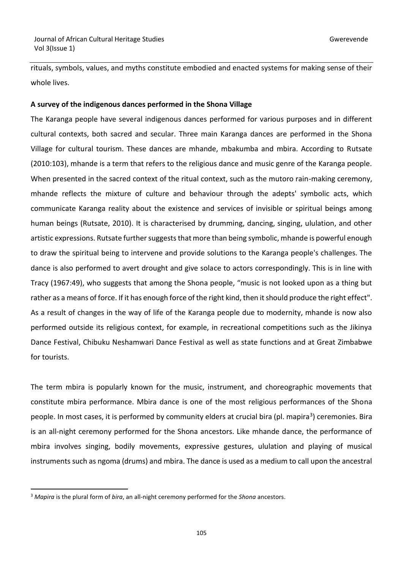rituals, symbols, values, and myths constitute embodied and enacted systems for making sense of their whole lives.

### **A survey of the indigenous dances performed in the Shona Village**

The Karanga people have several indigenous dances performed for various purposes and in different cultural contexts, both sacred and secular. Three main Karanga dances are performed in the Shona Village for cultural tourism. These dances are mhande, mbakumba and mbira. According to Rutsate (2010:103), mhande is a term that refers to the religious dance and music genre of the Karanga people. When presented in the sacred context of the ritual context, such as the mutoro rain-making ceremony, mhande reflects the mixture of culture and behaviour through the adepts' symbolic acts, which communicate Karanga reality about the existence and services of invisible or spiritual beings among human beings (Rutsate, 2010). It is characterised by drumming, dancing, singing, ululation, and other artistic expressions. Rutsate further suggests that more than being symbolic, mhande is powerful enough to draw the spiritual being to intervene and provide solutions to the Karanga people's challenges. The dance is also performed to avert drought and give solace to actors correspondingly. This is in line with Tracy (1967:49), who suggests that among the Shona people, "music is not looked upon as a thing but rather as a means of force. If it has enough force of the right kind, then it should produce the right effect". As a result of changes in the way of life of the Karanga people due to modernity, mhande is now also performed outside its religious context, for example, in recreational competitions such as the Jikinya Dance Festival, Chibuku Neshamwari Dance Festival as well as state functions and at Great Zimbabwe for tourists.

The term mbira is popularly known for the music, instrument, and choreographic movements that constitute mbira performance. Mbira dance is one of the most religious performances of the Shona people. In most cases, it is performed by community elders at crucial bira (pl. mapira<sup>3</sup>) ceremonies. Bira is an all-night ceremony performed for the Shona ancestors. Like mhande dance, the performance of mbira involves singing, bodily movements, expressive gestures, ululation and playing of musical instruments such as ngoma (drums) and mbira. The dance is used as a medium to call upon the ancestral

<sup>3</sup> *Mapira* is the plural form of *bira*, an all-night ceremony performed for the *Shona* ancestors.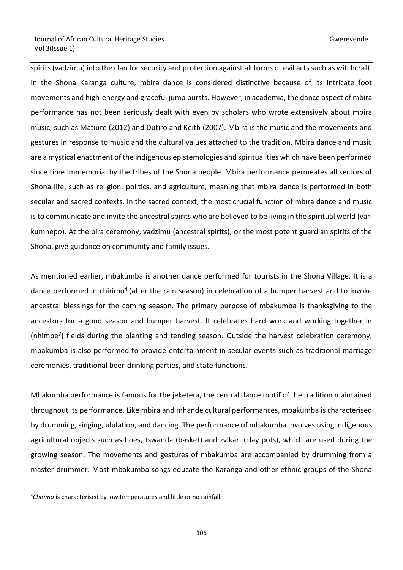spirits (vadzimu) into the clan for security and protection against all forms of evil acts such as witchcraft. In the Shona Karanga culture, mbira dance is considered distinctive because of its intricate foot movements and high-energy and graceful jump bursts. However, in academia, the dance aspect of mbira performance has not been seriously dealt with even by scholars who wrote extensively about mbira music, such as Matiure (2012) and Dutiro and Keith (2007). Mbira is the music and the movements and gestures in response to music and the cultural values attached to the tradition. Mbira dance and music are a mystical enactment of the indigenous epistemologies and spiritualities which have been performed since time immemorial by the tribes of the Shona people. Mbira performance permeates all sectors of Shona life, such as religion, politics, and agriculture, meaning that mbira dance is performed in both secular and sacred contexts. In the sacred context, the most crucial function of mbira dance and music is to communicate and invite the ancestral spirits who are believed to be living in the spiritual world (vari kumhepo). At the bira ceremony, vadzimu (ancestral spirits), or the most potent guardian spirits of the Shona, give guidance on community and family issues.

As mentioned earlier, mbakumba is another dance performed for tourists in the Shona Village. It is a dance performed in chirimo<sup>4</sup> (after the rain season) in celebration of a bumper harvest and to invoke ancestral blessings for the coming season. The primary purpose of mbakumba is thanksgiving to the ancestors for a good season and bumper harvest. It celebrates hard work and working together in (nhimbe<sup>7</sup>) fields during the planting and tending season. Outside the harvest celebration ceremony, mbakumba is also performed to provide entertainment in secular events such as traditional marriage ceremonies, traditional beer-drinking parties, and state functions.

Mbakumba performance is famous for the jeketera, the central dance motif of the tradition maintained throughout its performance. Like mbira and mhande cultural performances, mbakumba is characterised by drumming, singing, ululation, and dancing. The performance of mbakumba involves using indigenous agricultural objects such as hoes, tswanda (basket) and zvikari (clay pots), which are used during the growing season. The movements and gestures of mbakumba are accompanied by drumming from a master drummer. Most mbakumba songs educate the Karanga and other ethnic groups of the Shona

<sup>4</sup>*Chirimo* is characterised by low temperatures and little or no rainfall.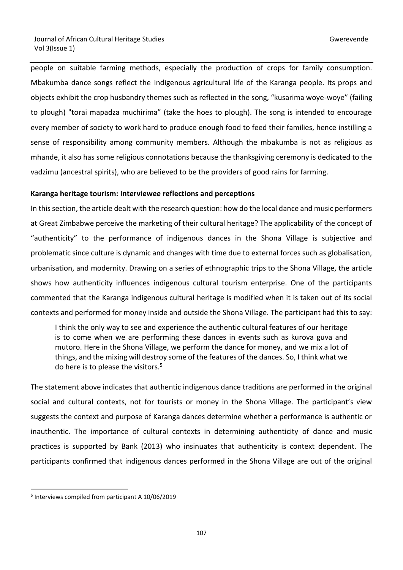people on suitable farming methods, especially the production of crops for family consumption. Mbakumba dance songs reflect the indigenous agricultural life of the Karanga people. Its props and objects exhibit the crop husbandry themes such as reflected in the song, "kusarima woye-woye" (failing to plough) "torai mapadza muchirima" (take the hoes to plough). The song is intended to encourage every member of society to work hard to produce enough food to feed their families, hence instilling a sense of responsibility among community members. Although the mbakumba is not as religious as mhande, it also has some religious connotations because the thanksgiving ceremony is dedicated to the vadzimu (ancestral spirits), who are believed to be the providers of good rains for farming.

# **Karanga heritage tourism: Interviewee reflections and perceptions**

In this section, the article dealt with the research question: how do the local dance and music performers at Great Zimbabwe perceive the marketing of their cultural heritage? The applicability of the concept of "authenticity" to the performance of indigenous dances in the Shona Village is subjective and problematic since culture is dynamic and changes with time due to external forces such as globalisation, urbanisation, and modernity. Drawing on a series of ethnographic trips to the Shona Village, the article shows how authenticity influences indigenous cultural tourism enterprise. One of the participants commented that the Karanga indigenous cultural heritage is modified when it is taken out of its social contexts and performed for money inside and outside the Shona Village. The participant had this to say:

I think the only way to see and experience the authentic cultural features of our heritage is to come when we are performing these dances in events such as kurova guva and mutoro. Here in the Shona Village, we perform the dance for money, and we mix a lot of things, and the mixing will destroy some of the features of the dances. So, I think what we do here is to please the visitors.<sup>5</sup>

The statement above indicates that authentic indigenous dance traditions are performed in the original social and cultural contexts, not for tourists or money in the Shona Village. The participant's view suggests the context and purpose of Karanga dances determine whether a performance is authentic or inauthentic. The importance of cultural contexts in determining authenticity of dance and music practices is supported by Bank (2013) who insinuates that authenticity is context dependent. The participants confirmed that indigenous dances performed in the Shona Village are out of the original

<sup>5</sup> Interviews compiled from participant A 10/06/2019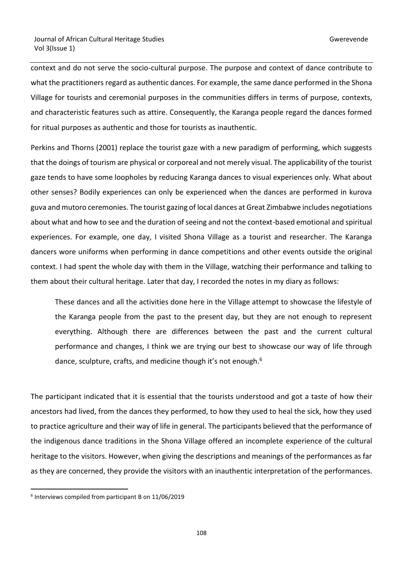context and do not serve the socio-cultural purpose. The purpose and context of dance contribute to what the practitioners regard as authentic dances. For example, the same dance performed in the Shona Village for tourists and ceremonial purposes in the communities differs in terms of purpose, contexts, and characteristic features such as attire. Consequently, the Karanga people regard the dances formed for ritual purposes as authentic and those for tourists as inauthentic.

Perkins and Thorns (2001) replace the tourist gaze with a new paradigm of performing, which suggests that the doings of tourism are physical or corporeal and not merely visual. The applicability of the tourist gaze tends to have some loopholes by reducing Karanga dances to visual experiences only. What about other senses? Bodily experiences can only be experienced when the dances are performed in kurova guva and mutoro ceremonies. The tourist gazing of local dances at Great Zimbabwe includes negotiations about what and how to see and the duration of seeing and not the context-based emotional and spiritual experiences. For example, one day, I visited Shona Village as a tourist and researcher. The Karanga dancers wore uniforms when performing in dance competitions and other events outside the original context. I had spent the whole day with them in the Village, watching their performance and talking to them about their cultural heritage. Later that day, I recorded the notes in my diary as follows:

These dances and all the activities done here in the Village attempt to showcase the lifestyle of the Karanga people from the past to the present day, but they are not enough to represent everything. Although there are differences between the past and the current cultural performance and changes, I think we are trying our best to showcase our way of life through dance, sculpture, crafts, and medicine though it's not enough.<sup>6</sup>

The participant indicated that it is essential that the tourists understood and got a taste of how their ancestors had lived, from the dances they performed, to how they used to heal the sick, how they used to practice agriculture and their way of life in general. The participants believed that the performance of the indigenous dance traditions in the Shona Village offered an incomplete experience of the cultural heritage to the visitors. However, when giving the descriptions and meanings of the performances as far as they are concerned, they provide the visitors with an inauthentic interpretation of the performances.

<sup>6</sup> Interviews compiled from participant B on 11/06/2019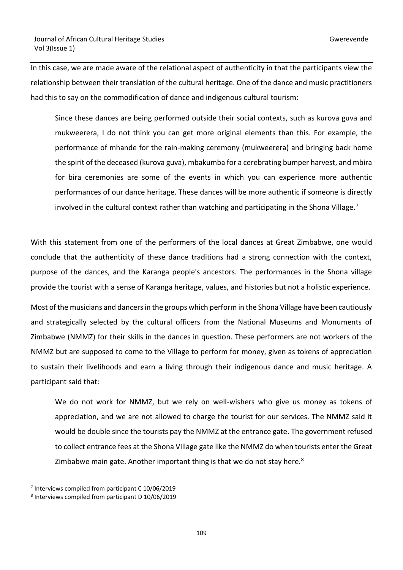In this case, we are made aware of the relational aspect of authenticity in that the participants view the relationship between their translation of the cultural heritage. One of the dance and music practitioners had this to say on the commodification of dance and indigenous cultural tourism:

Since these dances are being performed outside their social contexts, such as kurova guva and mukweerera, I do not think you can get more original elements than this. For example, the performance of mhande for the rain-making ceremony (mukweerera) and bringing back home the spirit of the deceased (kurova guva), mbakumba for a cerebrating bumper harvest, and mbira for bira ceremonies are some of the events in which you can experience more authentic performances of our dance heritage. These dances will be more authentic if someone is directly involved in the cultural context rather than watching and participating in the Shona Village.<sup>7</sup>

With this statement from one of the performers of the local dances at Great Zimbabwe, one would conclude that the authenticity of these dance traditions had a strong connection with the context, purpose of the dances, and the Karanga people's ancestors. The performances in the Shona village provide the tourist with a sense of Karanga heritage, values, and histories but not a holistic experience.

Most of the musicians and dancers in the groups which perform in the Shona Village have been cautiously and strategically selected by the cultural officers from the National Museums and Monuments of Zimbabwe (NMMZ) for their skills in the dances in question. These performers are not workers of the NMMZ but are supposed to come to the Village to perform for money, given as tokens of appreciation to sustain their livelihoods and earn a living through their indigenous dance and music heritage. A participant said that:

We do not work for NMMZ, but we rely on well-wishers who give us money as tokens of appreciation, and we are not allowed to charge the tourist for our services. The NMMZ said it would be double since the tourists pay the NMMZ at the entrance gate. The government refused to collect entrance fees at the Shona Village gate like the NMMZ do when tourists enter the Great Zimbabwe main gate. Another important thing is that we do not stay here. $8$ 

<sup>&</sup>lt;sup>7</sup> Interviews compiled from participant C 10/06/2019

<sup>8</sup> Interviews compiled from participant D 10/06/2019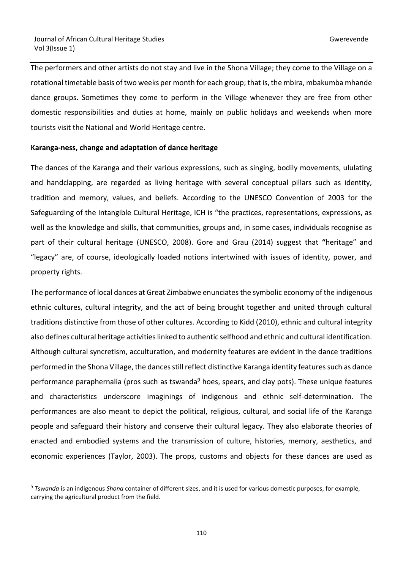The performers and other artists do not stay and live in the Shona Village; they come to the Village on a rotational timetable basis of two weeks per month for each group; that is, the mbira, mbakumba mhande dance groups. Sometimes they come to perform in the Village whenever they are free from other domestic responsibilities and duties at home, mainly on public holidays and weekends when more tourists visit the National and World Heritage centre.

#### **Karanga-ness, change and adaptation of dance heritage**

The dances of the Karanga and their various expressions, such as singing, bodily movements, ululating and handclapping, are regarded as living heritage with several conceptual pillars such as identity, tradition and memory, values, and beliefs. According to the UNESCO Convention of 2003 for the Safeguarding of the Intangible Cultural Heritage, ICH is "the practices, representations, expressions, as well as the knowledge and skills, that communities, groups and, in some cases, individuals recognise as part of their cultural heritage (UNESCO, 2008). Gore and Grau (2014) suggest that **"**heritage" and "legacy" are, of course, ideologically loaded notions intertwined with issues of identity, power, and property rights.

The performance of local dances at Great Zimbabwe enunciates the symbolic economy of the indigenous ethnic cultures, cultural integrity, and the act of being brought together and united through cultural traditions distinctive from those of other cultures. According to Kidd (2010), ethnic and cultural integrity also defines cultural heritage activities linked to authentic selfhood and ethnic and cultural identification. Although cultural syncretism, acculturation, and modernity features are evident in the dance traditions performed in the Shona Village, the dances still reflect distinctive Karanga identity features such as dance performance paraphernalia (pros such as tswanda<sup>9</sup> hoes, spears, and clay pots). These unique features and characteristics underscore imaginings of indigenous and ethnic self-determination. The performances are also meant to depict the political, religious, cultural, and social life of the Karanga people and safeguard their history and conserve their cultural legacy. They also elaborate theories of enacted and embodied systems and the transmission of culture, histories, memory, aesthetics, and economic experiences (Taylor, 2003). The props, customs and objects for these dances are used as

<sup>9</sup> *Tswanda* is an indigenous *Shona* container of different sizes, and it is used for various domestic purposes, for example, carrying the agricultural product from the field.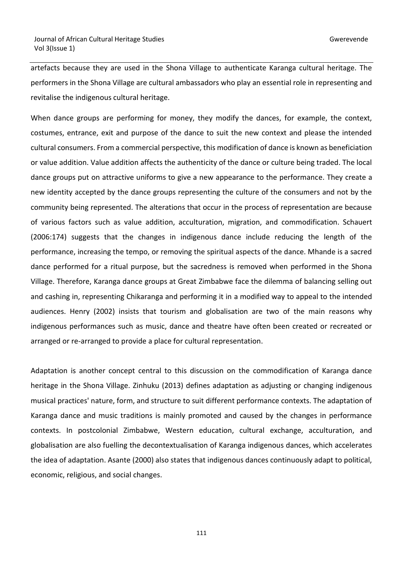artefacts because they are used in the Shona Village to authenticate Karanga cultural heritage. The performers in the Shona Village are cultural ambassadors who play an essential role in representing and revitalise the indigenous cultural heritage.

When dance groups are performing for money, they modify the dances, for example, the context, costumes, entrance, exit and purpose of the dance to suit the new context and please the intended cultural consumers. From a commercial perspective, this modification of dance is known as beneficiation or value addition. Value addition affects the authenticity of the dance or culture being traded. The local dance groups put on attractive uniforms to give a new appearance to the performance. They create a new identity accepted by the dance groups representing the culture of the consumers and not by the community being represented. The alterations that occur in the process of representation are because of various factors such as value addition, acculturation, migration, and commodification. Schauert (2006:174) suggests that the changes in indigenous dance include reducing the length of the performance, increasing the tempo, or removing the spiritual aspects of the dance. Mhande is a sacred dance performed for a ritual purpose, but the sacredness is removed when performed in the Shona Village. Therefore, Karanga dance groups at Great Zimbabwe face the dilemma of balancing selling out and cashing in, representing Chikaranga and performing it in a modified way to appeal to the intended audiences. Henry (2002) insists that tourism and globalisation are two of the main reasons why indigenous performances such as music, dance and theatre have often been created or recreated or arranged or re-arranged to provide a place for cultural representation.

Adaptation is another concept central to this discussion on the commodification of Karanga dance heritage in the Shona Village. Zinhuku (2013) defines adaptation as adjusting or changing indigenous musical practices' nature, form, and structure to suit different performance contexts. The adaptation of Karanga dance and music traditions is mainly promoted and caused by the changes in performance contexts. In postcolonial Zimbabwe, Western education, cultural exchange, acculturation, and globalisation are also fuelling the decontextualisation of Karanga indigenous dances, which accelerates the idea of adaptation. Asante (2000) also states that indigenous dances continuously adapt to political, economic, religious, and social changes.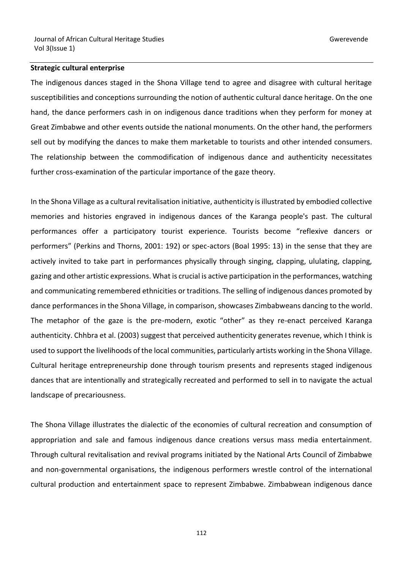#### **Strategic cultural enterprise**

The indigenous dances staged in the Shona Village tend to agree and disagree with cultural heritage susceptibilities and conceptions surrounding the notion of authentic cultural dance heritage. On the one hand, the dance performers cash in on indigenous dance traditions when they perform for money at Great Zimbabwe and other events outside the national monuments. On the other hand, the performers sell out by modifying the dances to make them marketable to tourists and other intended consumers. The relationship between the commodification of indigenous dance and authenticity necessitates further cross-examination of the particular importance of the gaze theory.

In the Shona Village as a cultural revitalisation initiative, authenticity is illustrated by embodied collective memories and histories engraved in indigenous dances of the Karanga people's past. The cultural performances offer a participatory tourist experience. Tourists become "reflexive dancers or performers" (Perkins and Thorns, 2001: 192) or spec-actors (Boal 1995: 13) in the sense that they are actively invited to take part in performances physically through singing, clapping, ululating, clapping, gazing and other artistic expressions. What is crucial is active participation in the performances, watching and communicating remembered ethnicities or traditions. The selling of indigenous dances promoted by dance performances in the Shona Village, in comparison, showcases Zimbabweans dancing to the world. The metaphor of the gaze is the pre-modern, exotic "other" as they re-enact perceived Karanga authenticity. Chhbra et al. (2003) suggest that perceived authenticity generates revenue, which I think is used to support the livelihoods of the local communities, particularly artists working in the Shona Village. Cultural heritage entrepreneurship done through tourism presents and represents staged indigenous dances that are intentionally and strategically recreated and performed to sell in to navigate the actual landscape of precariousness.

The Shona Village illustrates the dialectic of the economies of cultural recreation and consumption of appropriation and sale and famous indigenous dance creations versus mass media entertainment. Through cultural revitalisation and revival programs initiated by the National Arts Council of Zimbabwe and non-governmental organisations, the indigenous performers wrestle control of the international cultural production and entertainment space to represent Zimbabwe. Zimbabwean indigenous dance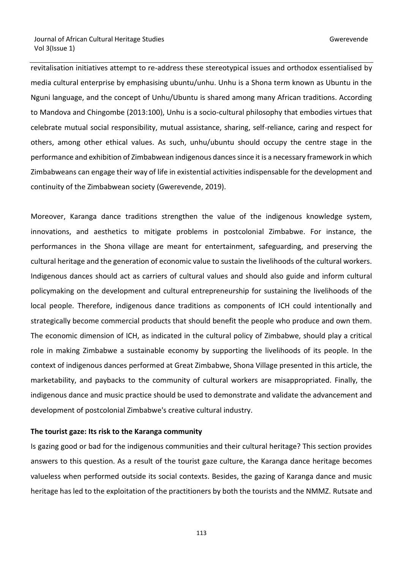revitalisation initiatives attempt to re-address these stereotypical issues and orthodox essentialised by media cultural enterprise by emphasising ubuntu/unhu. Unhu is a Shona term known as Ubuntu in the Nguni language, and the concept of Unhu/Ubuntu is shared among many African traditions. According to Mandova and Chingombe (2013:100), Unhu is a socio-cultural philosophy that embodies virtues that celebrate mutual social responsibility, mutual assistance, sharing, self-reliance, caring and respect for others, among other ethical values. As such, unhu/ubuntu should occupy the centre stage in the performance and exhibition of Zimbabwean indigenous dances since it is a necessary framework in which Zimbabweans can engage their way of life in existential activities indispensable for the development and continuity of the Zimbabwean society (Gwerevende, 2019).

Moreover, Karanga dance traditions strengthen the value of the indigenous knowledge system, innovations, and aesthetics to mitigate problems in postcolonial Zimbabwe. For instance, the performances in the Shona village are meant for entertainment, safeguarding, and preserving the cultural heritage and the generation of economic value to sustain the livelihoods of the cultural workers. Indigenous dances should act as carriers of cultural values and should also guide and inform cultural policymaking on the development and cultural entrepreneurship for sustaining the livelihoods of the local people. Therefore, indigenous dance traditions as components of ICH could intentionally and strategically become commercial products that should benefit the people who produce and own them. The economic dimension of ICH, as indicated in the cultural policy of Zimbabwe, should play a critical role in making Zimbabwe a sustainable economy by supporting the livelihoods of its people. In the context of indigenous dances performed at Great Zimbabwe, Shona Village presented in this article, the marketability, and paybacks to the community of cultural workers are misappropriated. Finally, the indigenous dance and music practice should be used to demonstrate and validate the advancement and development of postcolonial Zimbabwe's creative cultural industry.

#### **The tourist gaze: Its risk to the Karanga community**

Is gazing good or bad for the indigenous communities and their cultural heritage? This section provides answers to this question. As a result of the tourist gaze culture, the Karanga dance heritage becomes valueless when performed outside its social contexts. Besides, the gazing of Karanga dance and music heritage has led to the exploitation of the practitioners by both the tourists and the NMMZ. Rutsate and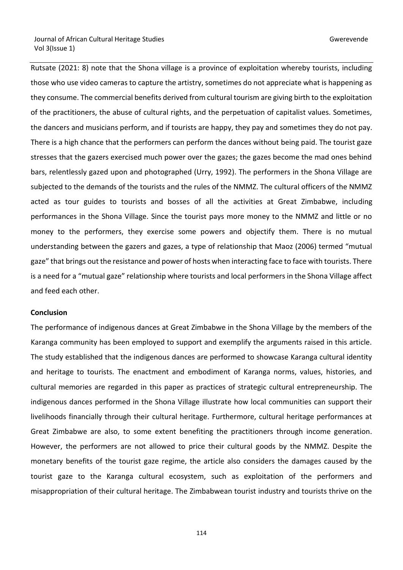Rutsate (2021: 8) note that the Shona village is a province of exploitation whereby tourists, including those who use video cameras to capture the artistry, sometimes do not appreciate what is happening as they consume. The commercial benefits derived from cultural tourism are giving birth to the exploitation of the practitioners, the abuse of cultural rights, and the perpetuation of capitalist values. Sometimes, the dancers and musicians perform, and if tourists are happy, they pay and sometimes they do not pay. There is a high chance that the performers can perform the dances without being paid. The tourist gaze stresses that the gazers exercised much power over the gazes; the gazes become the mad ones behind bars, relentlessly gazed upon and photographed (Urry, 1992). The performers in the Shona Village are subjected to the demands of the tourists and the rules of the NMMZ. The cultural officers of the NMMZ acted as tour guides to tourists and bosses of all the activities at Great Zimbabwe, including performances in the Shona Village. Since the tourist pays more money to the NMMZ and little or no money to the performers, they exercise some powers and objectify them. There is no mutual understanding between the gazers and gazes, a type of relationship that Maoz (2006) termed "mutual gaze" that brings out the resistance and power of hosts when interacting face to face with tourists. There is a need for a "mutual gaze" relationship where tourists and local performers in the Shona Village affect and feed each other.

#### **Conclusion**

The performance of indigenous dances at Great Zimbabwe in the Shona Village by the members of the Karanga community has been employed to support and exemplify the arguments raised in this article. The study established that the indigenous dances are performed to showcase Karanga cultural identity and heritage to tourists. The enactment and embodiment of Karanga norms, values, histories, and cultural memories are regarded in this paper as practices of strategic cultural entrepreneurship. The indigenous dances performed in the Shona Village illustrate how local communities can support their livelihoods financially through their cultural heritage. Furthermore, cultural heritage performances at Great Zimbabwe are also, to some extent benefiting the practitioners through income generation. However, the performers are not allowed to price their cultural goods by the NMMZ. Despite the monetary benefits of the tourist gaze regime, the article also considers the damages caused by the tourist gaze to the Karanga cultural ecosystem, such as exploitation of the performers and misappropriation of their cultural heritage. The Zimbabwean tourist industry and tourists thrive on the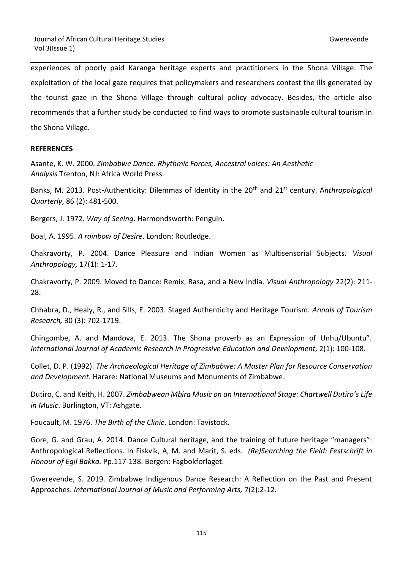experiences of poorly paid Karanga heritage experts and practitioners in the Shona Village. The exploitation of the local gaze requires that policymakers and researchers contest the ills generated by the tourist gaze in the Shona Village through cultural policy advocacy. Besides, the article also recommends that a further study be conducted to find ways to promote sustainable cultural tourism in the Shona Village.

# **REFERENCES**

Asante, K. W. 2000. *Zimbabwe Dance: Rhythmic Forces, Ancestral voices: An Aesthetic Analysis* Trenton, NJ: Africa World Press.

Banks, M. 2013. Post-Authenticity: Dilemmas of Identity in the 20<sup>th</sup> and 21<sup>st</sup> century. Anthropological *Quarterly*, 86 (2): 481-500.

Bergers, J. 1972. *Way of Seeing*. Harmondsworth: Penguin.

Boal, A. 1995. *A rainbow of Desire*. London: Routledge.

Chakravorty, P. 2004. Dance Pleasure and Indian Women as Multisensorial Subjects. *Visual Anthropology,* 17(1): 1-17.

Chakravorty, P. 2009. Moved to Dance: Remix, Rasa, and a New India. *Visual Anthropology* 22(2): 211- 28.

Chhabra, D., Healy, R., and Sills, E. 2003. Staged Authenticity and Heritage Tourism. *Annals of Tourism Research,* 30 (3): 702-1719.

Chingombe, A. and Mandova, E. 2013. The Shona proverb as an Expression of Unhu/Ubuntu". *International Journal of Academic Research in Progressive Education and Development,* 2(1): 100-108.

Collet, D. P. (1992). *The Archaeological Heritage of Zimbabwe: A Master Plan for Resource Conservation and Development*. Harare: National Museums and Monuments of Zimbabwe.

Dutiro, C. and Keith, H. 2007. *Zimbabwean Mbira Music on an International Stage: Chartwell Dutiro's Life in Music*. Burlington, VT: Ashgate.

Foucault, M. 1976. *The Birth of the Clinic*. London: Tavistock.

Gore, G. and Grau, A. 2014. Dance Cultural heritage, and the training of future heritage "managers": Anthropological Reflections. In Fiskvik, A, M. and Marit, S. eds. *(Re)Searching the Field: Festschrift in Honour of Egil Bakka.* Pp.117-138. Bergen: Fagbokforlaget.

Gwerevende, S. 2019. Zimbabwe Indigenous Dance Research: A Reflection on the Past and Present Approaches. *International Journal of Music and Performing Arts,* 7(2):2-12.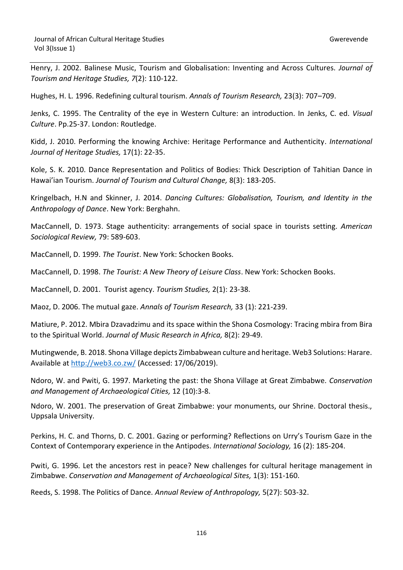Henry, J. 2002. Balinese Music, Tourism and Globalisation: Inventing and Across Cultures. *Journal of Tourism and Heritage Studies, 7*(2): 110-122.

Hughes, H. L. 1996. Redefining cultural tourism. *Annals of Tourism Research,* 23(3): 707–709.

Jenks, C. 1995. The Centrality of the eye in Western Culture: an introduction. In Jenks, C. ed. *Visual Culture*. Pp.25-37. London: Routledge.

Kidd, J. 2010. Performing the knowing Archive: Heritage Performance and Authenticity. *International Journal of Heritage Studies,* 17(1): 22-35.

Kole, S. K. 2010. Dance Representation and Politics of Bodies: Thick Description of Tahitian Dance in Hawai'ian Tourism. *Journal of Tourism and Cultural Change,* 8(3): 183-205.

Kringelbach, H.N and Skinner, J. 2014. *Dancing Cultures: Globalisation, Tourism, and Identity in the Anthropology of Dance*. New York: Berghahn.

MacCannell, D. 1973. Stage authenticity: arrangements of social space in tourists setting. *American Sociological Review,* 79: 589-603.

MacCannell, D. 1999. *The Tourist*. New York: Schocken Books.

MacCannell, D. 1998. *The Tourist: A New Theory of Leisure Class*. New York: Schocken Books.

MacCannell, D. 2001. Tourist agency. *Tourism Studies,* 2(1): 23-38.

Maoz, D. 2006. The mutual gaze. *Annals of Tourism Research,* 33 (1): 221-239.

Matiure, P. 2012. Mbira Dzavadzimu and its space within the Shona Cosmology: Tracing mbira from Bira to the Spiritual World. *Journal of Music Research in Africa,* 8(2): 29-49.

Mutingwende, B. 2018. Shona Village depicts Zimbabwean culture and heritage. Web3 Solutions: Harare. Available at<http://web3.co.zw/> (Accessed: 17/06/2019).

Ndoro, W. and Pwiti, G. 1997. Marketing the past: the Shona Village at Great Zimbabwe. *Conservation and Management of Archaeological Cities,* 12 (10):3-8.

Ndoro, W. 2001. The preservation of Great Zimbabwe: your monuments, our Shrine. Doctoral thesis., Uppsala University.

Perkins, H. C. and Thorns, D. C. 2001. Gazing or performing? Reflections on Urry's Tourism Gaze in the Context of Contemporary experience in the Antipodes. *International Sociology,* 16 (2): 185-204.

Pwiti, G. 1996. Let the ancestors rest in peace? New challenges for cultural heritage management in Zimbabwe. *Conservation and Management of Archaeological Sites,* 1(3): 151-160.

Reeds, S. 1998. The Politics of Dance. *Annual Review of Anthropology,* 5(27): 503-32.